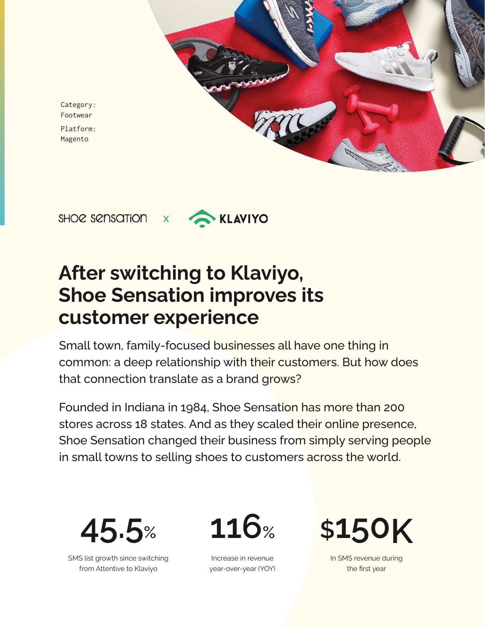Category: Footwear Platform: Magento





# **After switching to Klaviyo, Shoe Sensation improves its customer experience**

Small town, family-focused businesses all have one thing in common: a deep relationship with their customers. But how does that connection translate as a brand grows?

Founded in Indiana in 1984, Shoe Sensation has more than 200 stores across 18 states. And as they scaled their online presence, Shoe Sensation changed their business from simply serving people in small towns to selling shoes to customers across the world.



SMS list growth since switching from Attentive to Klaviyo



Increase in revenue year-over-year (YOY)



In SMS revenue during the first year